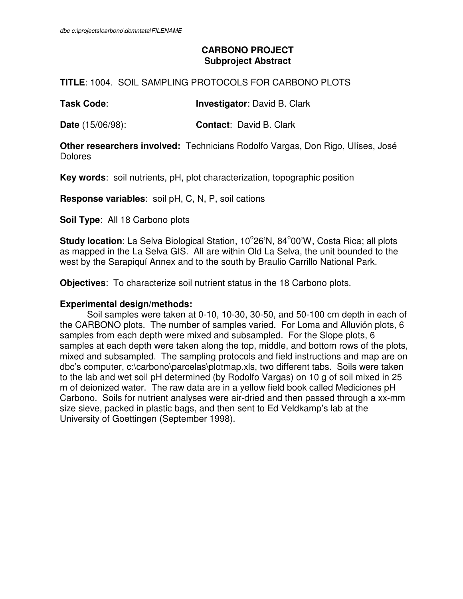# **CARBONO PROJECT Subproject Abstract**

# **TITLE**: 1004. SOIL SAMPLING PROTOCOLS FOR CARBONO PLOTS

**Task Code**: **Investigator**: David B. Clark

**Date** (15/06/98): **Contact**: David B. Clark

**Other researchers involved:** Technicians Rodolfo Vargas, Don Rigo, Ulíses, José Dolores

**Key words**: soil nutrients, pH, plot characterization, topographic position

**Response variables**: soil pH, C, N, P, soil cations

**Soil Type**: All 18 Carbono plots

Study location: La Selva Biological Station, 10<sup>°</sup>26'N, 84<sup>°</sup>00'W, Costa Rica; all plots as mapped in the La Selva GIS. All are within Old La Selva, the unit bounded to the west by the Sarapiquí Annex and to the south by Braulio Carrillo National Park.

**Objectives**: To characterize soil nutrient status in the 18 Carbono plots.

#### **Experimental design/methods:**

 Soil samples were taken at 0-10, 10-30, 30-50, and 50-100 cm depth in each of the CARBONO plots. The number of samples varied. For Loma and Alluvión plots, 6 samples from each depth were mixed and subsampled. For the Slope plots, 6 samples at each depth were taken along the top, middle, and bottom rows of the plots, mixed and subsampled. The sampling protocols and field instructions and map are on dbc's computer, c:\carbono\parcelas\plotmap.xls, two different tabs. Soils were taken to the lab and wet soil pH determined (by Rodolfo Vargas) on 10 g of soil mixed in 25 m of deionized water. The raw data are in a yellow field book called Mediciones pH Carbono. Soils for nutrient analyses were air-dried and then passed through a xx-mm size sieve, packed in plastic bags, and then sent to Ed Veldkamp's lab at the University of Goettingen (September 1998).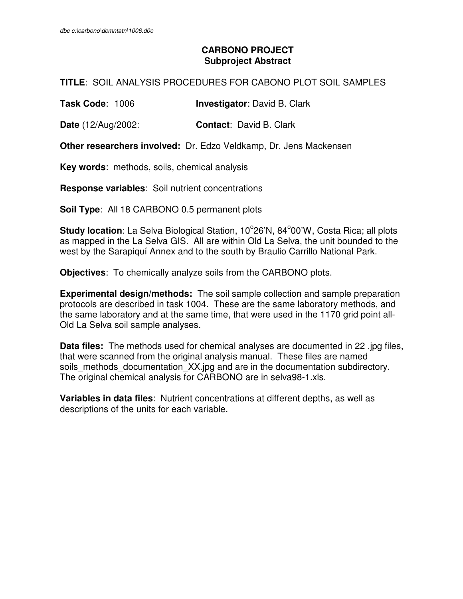# **CARBONO PROJECT Subproject Abstract**

### **TITLE**: SOIL ANALYSIS PROCEDURES FOR CABONO PLOT SOIL SAMPLES

**Task Code**: 1006 **Investigator**: David B. Clark

**Date** (12/Aug/2002: **Contact**: David B. Clark

**Other researchers involved:** Dr. Edzo Veldkamp, Dr. Jens Mackensen

**Key words**: methods, soils, chemical analysis

**Response variables**: Soil nutrient concentrations

**Soil Type**: All 18 CARBONO 0.5 permanent plots

Study location: La Selva Biological Station, 10<sup>°</sup>26'N, 84<sup>°</sup>00'W, Costa Rica; all plots as mapped in the La Selva GIS. All are within Old La Selva, the unit bounded to the west by the Sarapiquí Annex and to the south by Braulio Carrillo National Park.

**Objectives**: To chemically analyze soils from the CARBONO plots.

**Experimental design/methods:** The soil sample collection and sample preparation protocols are described in task 1004. These are the same laboratory methods, and the same laboratory and at the same time, that were used in the 1170 grid point all-Old La Selva soil sample analyses.

**Data files:** The methods used for chemical analyses are documented in 22 .jpg files, that were scanned from the original analysis manual. These files are named soils\_methods\_documentation\_XX.jpg and are in the documentation subdirectory. The original chemical analysis for CARBONO are in selva98-1.xls.

**Variables in data files**: Nutrient concentrations at different depths, as well as descriptions of the units for each variable.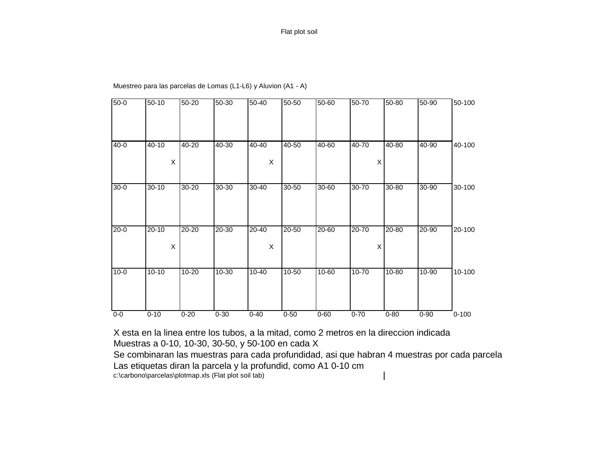| $50-0$   | $50 - 10$   | $50 - 20$ | $50 - 30$ | $50 - 40$ | $50 - 50$ | $50 - 60$ | 50-70     | 50-80     | $50 - 90$ | 50-100    |
|----------|-------------|-----------|-----------|-----------|-----------|-----------|-----------|-----------|-----------|-----------|
|          |             |           |           |           |           |           |           |           |           |           |
|          |             |           |           |           |           |           |           |           |           |           |
| $40 - 0$ | 40-10       | $40 - 20$ | 40-30     | $40 - 40$ | $40 - 50$ | 40-60     | 40-70     | 40-80     | 40-90     | 40-100    |
|          | $\mathsf X$ |           |           | X         |           |           | X         |           |           |           |
|          |             |           |           |           |           |           |           |           |           |           |
| $30 - 0$ | $30 - 10$   | $30 - 20$ | $30 - 30$ | $30 - 40$ | $30 - 50$ | $30 - 60$ | $30 - 70$ | $30 - 80$ | $30 - 90$ | 30-100    |
|          |             |           |           |           |           |           |           |           |           |           |
|          |             |           |           |           |           |           |           |           |           |           |
| $20 - 0$ | $20 - 10$   | 20-20     | 20-30     | 20-40     | 20-50     | 20-60     | 20-70     | 20-80     | 20-90     | 20-100    |
|          | X           |           |           | X         |           |           | X         |           |           |           |
|          |             |           |           |           |           |           |           |           |           |           |
| $10-0$   | $10 - 10$   | $10 - 20$ | $10-30$   | $10-40$   | $10-50$   | $10 - 60$ | $10 - 70$ | $10 - 80$ | $10 - 90$ | 10-100    |
|          |             |           |           |           |           |           |           |           |           |           |
|          |             |           |           |           |           |           |           |           |           |           |
| $0-0$    | $0 - 10$    | $0 - 20$  | $0 - 30$  | $0 - 40$  | $0 - 50$  | $0 - 60$  | $0 - 70$  | $0 - 80$  | $0 - 90$  | $0 - 100$ |

Muestreo para las parcelas de Lomas (L1-L6) y Aluvion (A1 - A)

X esta en la linea entre los tubos, a la mitad, como 2 metros en la direccion indicada Muestras a 0-10, 10-30, 30-50, y 50-100 en cada X

Se combinaran las muestras para cada profundidad, asi que habran 4 muestras por cada parcela Las etiquetas diran la parcela y la profundid, como A1 0-10 cm c:\carbono\parcelas\plotmap.xls (Flat plot soil tab)